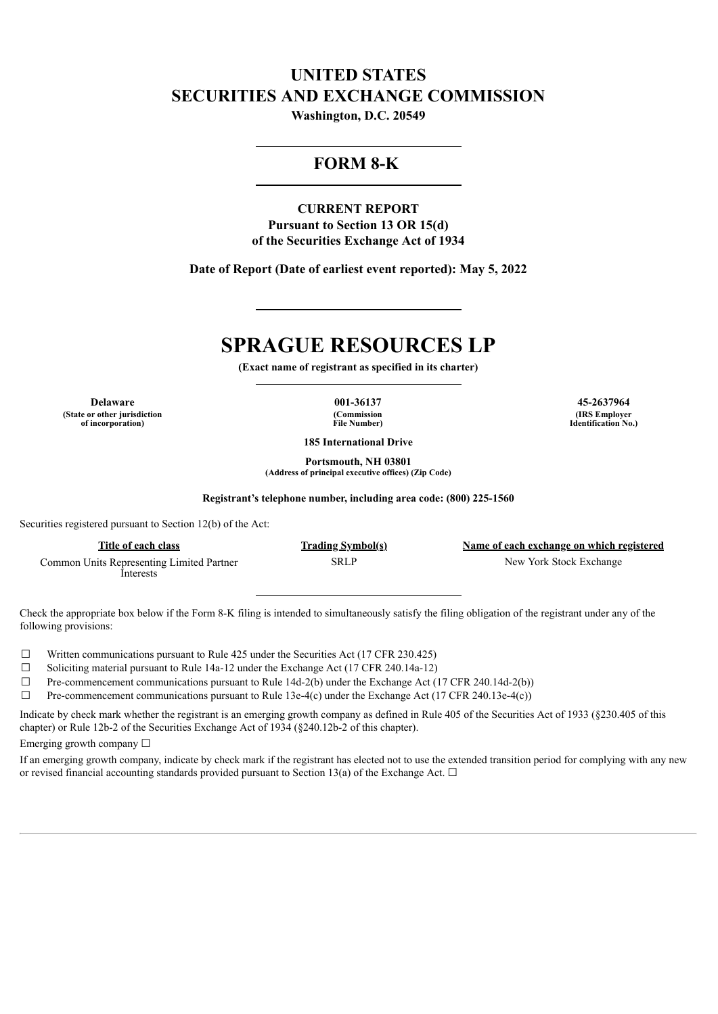## **UNITED STATES SECURITIES AND EXCHANGE COMMISSION**

**Washington, D.C. 20549**

## **FORM 8-K**

**CURRENT REPORT Pursuant to Section 13 OR 15(d) of the Securities Exchange Act of 1934**

**Date of Report (Date of earliest event reported): May 5, 2022**

# **SPRAGUE RESOURCES LP**

**(Exact name of registrant as specified in its charter)**

**Delaware 001-36137 45-2637964 (State or other jurisdiction of incorporation)**

**(Commission File Number)**

**(IRS Employer Identification No.)**

**185 International Drive**

**Portsmouth, NH 03801 (Address of principal executive offices) (Zip Code)**

**Registrant's telephone number, including area code: (800) 225-1560**

Securities registered pursuant to Section 12(b) of the Act:

Common Units Representing Limited Partner Interests

**Title of each class Trading Symbol(s) Name of each exchange on which registered** SRLP New York Stock Exchange

Check the appropriate box below if the Form 8-K filing is intended to simultaneously satisfy the filing obligation of the registrant under any of the following provisions:

 $\Box$  Written communications pursuant to Rule 425 under the Securities Act (17 CFR 230.425)

 $\Box$  Soliciting material pursuant to Rule 14a-12 under the Exchange Act (17 CFR 240.14a-12)

 $\Box$  Pre-commencement communications pursuant to Rule 14d-2(b) under the Exchange Act (17 CFR 240.14d-2(b))

 $\Box$  Pre-commencement communications pursuant to Rule 13e-4(c) under the Exchange Act (17 CFR 240.13e-4(c))

Indicate by check mark whether the registrant is an emerging growth company as defined in Rule 405 of the Securities Act of 1933 (§230.405 of this chapter) or Rule 12b-2 of the Securities Exchange Act of 1934 (§240.12b-2 of this chapter).

Emerging growth company ☐

If an emerging growth company, indicate by check mark if the registrant has elected not to use the extended transition period for complying with any new or revised financial accounting standards provided pursuant to Section 13(a) of the Exchange Act.  $\Box$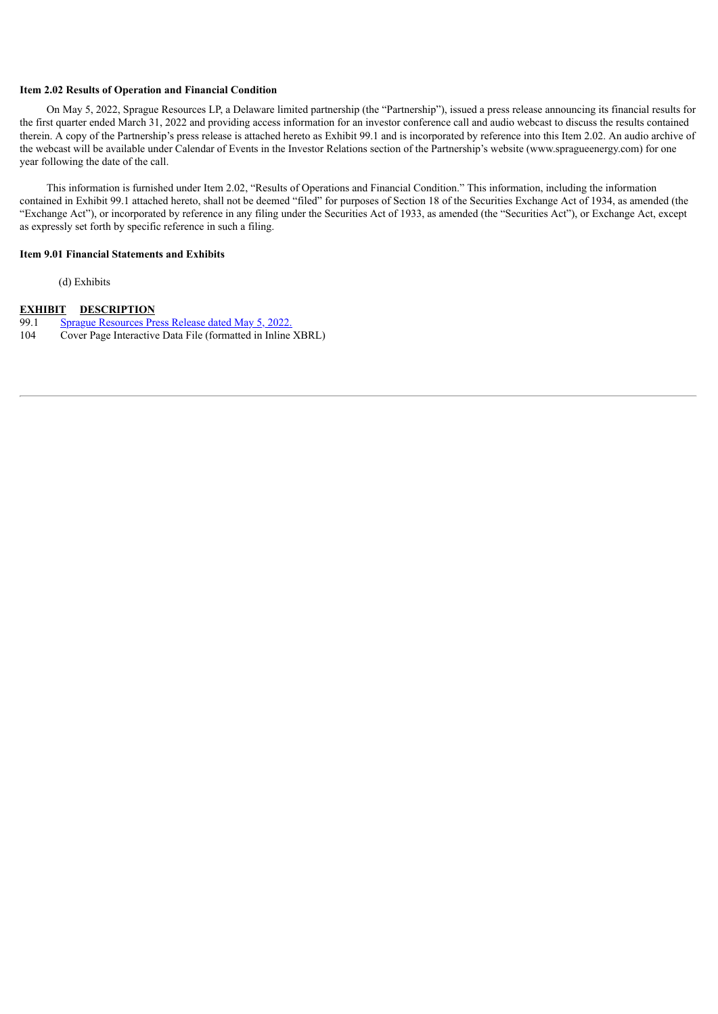#### **Item 2.02 Results of Operation and Financial Condition**

On May 5, 2022, Sprague Resources LP, a Delaware limited partnership (the "Partnership"), issued a press release announcing its financial results for the first quarter ended March 31, 2022 and providing access information for an investor conference call and audio webcast to discuss the results contained therein. A copy of the Partnership's press release is attached hereto as Exhibit 99.1 and is incorporated by reference into this Item 2.02. An audio archive of the webcast will be available under Calendar of Events in the Investor Relations section of the Partnership's website (www.spragueenergy.com) for one year following the date of the call.

This information is furnished under Item 2.02, "Results of Operations and Financial Condition." This information, including the information contained in Exhibit 99.1 attached hereto, shall not be deemed "filed" for purposes of Section 18 of the Securities Exchange Act of 1934, as amended (the "Exchange Act"), or incorporated by reference in any filing under the Securities Act of 1933, as amended (the "Securities Act"), or Exchange Act, except as expressly set forth by specific reference in such a filing.

#### **Item 9.01 Financial Statements and Exhibits**

(d) Exhibits

# **EXHIBIT DESCRIPTION**<br>99.1 Sprague Resources Pre

- Sprague [Resources](#page-3-0) Press [Release](#page-3-0) dated [Ma](#page-3-0)y 5, [2022.](#page-3-0)
- 104 Cover Page Interactive Data File (formatted in Inline XBRL)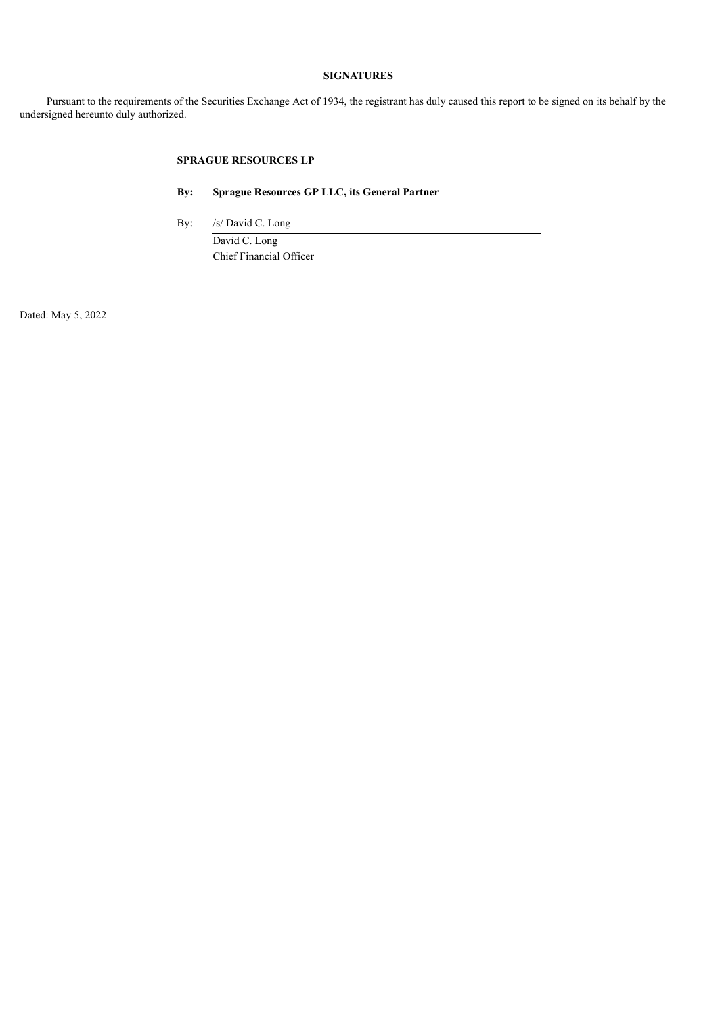## **SIGNATURES**

Pursuant to the requirements of the Securities Exchange Act of 1934, the registrant has duly caused this report to be signed on its behalf by the undersigned hereunto duly authorized.

## **SPRAGUE RESOURCES LP**

## **By: Sprague Resources GP LLC, its General Partner**

By: /s/ David C. Long

David C. Long Chief Financial Officer

Dated: May 5, 2022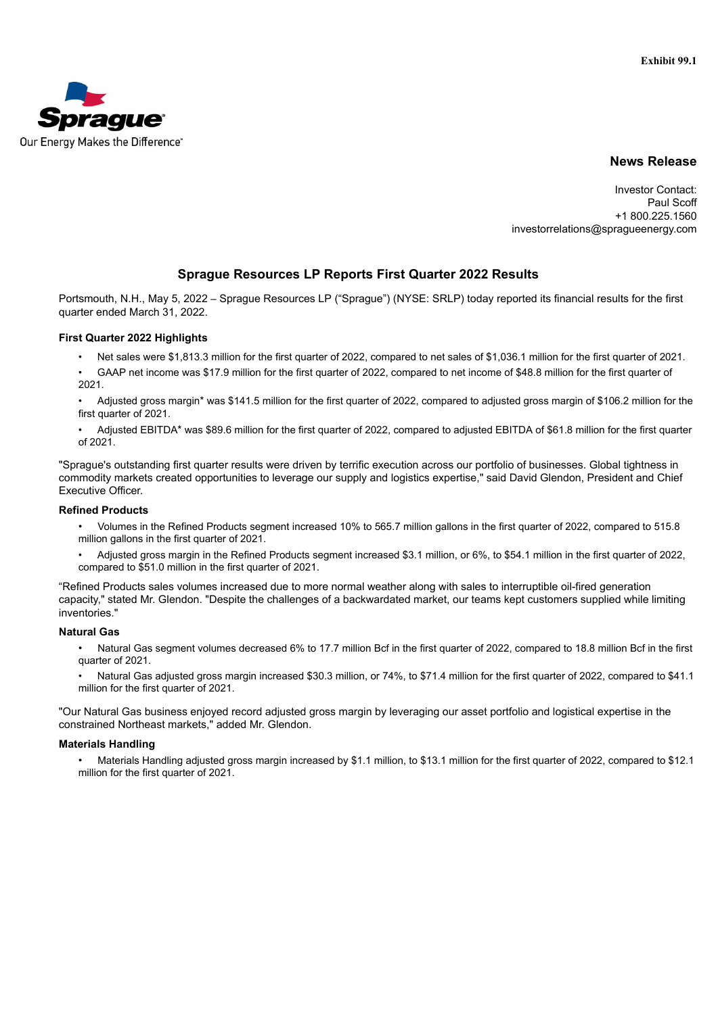<span id="page-3-0"></span>

## **News Release**

Investor Contact: Paul Scoff +1 800.225.1560 investorrelations@spragueenergy.com

## **Sprague Resources LP Reports First Quarter 2022 Results**

Portsmouth, N.H., May 5, 2022 – Sprague Resources LP ("Sprague") (NYSE: SRLP) today reported its financial results for the first quarter ended March 31, 2022.

## **First Quarter 2022 Highlights**

- Net sales were \$1,813.3 million for the first quarter of 2022, compared to net sales of \$1,036.1 million for the first quarter of 2021.
- GAAP net income was \$17.9 million for the first quarter of 2022, compared to net income of \$48.8 million for the first quarter of 2021.

• Adjusted gross margin\* was \$141.5 million for the first quarter of 2022, compared to adjusted gross margin of \$106.2 million for the first quarter of 2021.

• Adjusted EBITDA\* was \$89.6 million for the first quarter of 2022, compared to adjusted EBITDA of \$61.8 million for the first quarter of 2021.

"Sprague's outstanding first quarter results were driven by terrific execution across our portfolio of businesses. Global tightness in commodity markets created opportunities to leverage our supply and logistics expertise," said David Glendon, President and Chief Executive Officer.

#### **Refined Products**

- Volumes in the Refined Products segment increased 10% to 565.7 million gallons in the first quarter of 2022, compared to 515.8 million gallons in the first quarter of 2021.
- Adjusted gross margin in the Refined Products segment increased \$3.1 million, or 6%, to \$54.1 million in the first quarter of 2022, compared to \$51.0 million in the first quarter of 2021.

"Refined Products sales volumes increased due to more normal weather along with sales to interruptible oil-fired generation capacity," stated Mr. Glendon. "Despite the challenges of a backwardated market, our teams kept customers supplied while limiting inventories."

## **Natural Gas**

- Natural Gas segment volumes decreased 6% to 17.7 million Bcf in the first quarter of 2022, compared to 18.8 million Bcf in the first quarter of 2021.
- Natural Gas adjusted gross margin increased \$30.3 million, or 74%, to \$71.4 million for the first quarter of 2022, compared to \$41.1 million for the first quarter of 2021.

"Our Natural Gas business enjoyed record adjusted gross margin by leveraging our asset portfolio and logistical expertise in the constrained Northeast markets," added Mr. Glendon.

#### **Materials Handling**

• Materials Handling adjusted gross margin increased by \$1.1 million, to \$13.1 million for the first quarter of 2022, compared to \$12.1 million for the first quarter of 2021.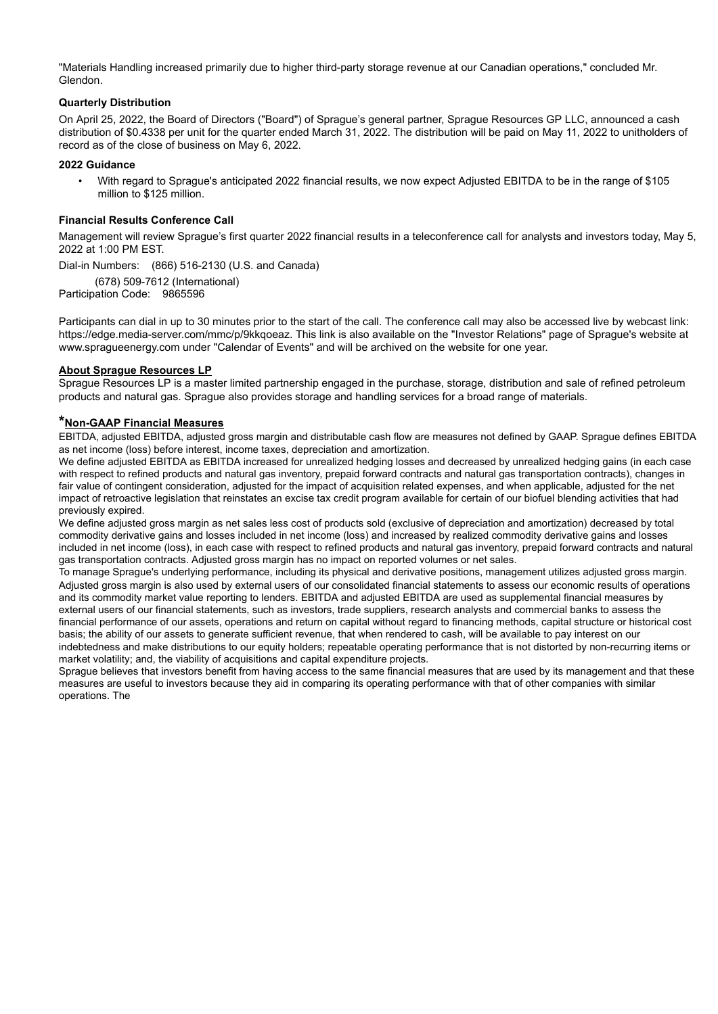"Materials Handling increased primarily due to higher third-party storage revenue at our Canadian operations," concluded Mr. Glendon.

## **Quarterly Distribution**

On April 25, 2022, the Board of Directors ("Board") of Sprague's general partner, Sprague Resources GP LLC, announced a cash distribution of \$0.4338 per unit for the quarter ended March 31, 2022. The distribution will be paid on May 11, 2022 to unitholders of record as of the close of business on May 6, 2022.

#### **2022 Guidance**

• With regard to Sprague's anticipated 2022 financial results, we now expect Adjusted EBITDA to be in the range of \$105 million to \$125 million.

### **Financial Results Conference Call**

Management will review Sprague's first quarter 2022 financial results in a teleconference call for analysts and investors today, May 5, 2022 at 1:00 PM EST.

Dial-in Numbers: (866) 516-2130 (U.S. and Canada)

(678) 509-7612 (International)

Participation Code: 9865596

Participants can dial in up to 30 minutes prior to the start of the call. The conference call may also be accessed live by webcast link: https://edge.media-server.com/mmc/p/9kkqoeaz. This link is also available on the "Investor Relations" page of Sprague's website at www.spragueenergy.com under "Calendar of Events" and will be archived on the website for one year.

#### **About Sprague Resources LP**

Sprague Resources LP is a master limited partnership engaged in the purchase, storage, distribution and sale of refined petroleum products and natural gas. Sprague also provides storage and handling services for a broad range of materials.

## **\*Non-GAAP Financial Measures**

EBITDA, adjusted EBITDA, adjusted gross margin and distributable cash flow are measures not defined by GAAP. Sprague defines EBITDA as net income (loss) before interest, income taxes, depreciation and amortization.

We define adjusted EBITDA as EBITDA increased for unrealized hedging losses and decreased by unrealized hedging gains (in each case with respect to refined products and natural gas inventory, prepaid forward contracts and natural gas transportation contracts), changes in fair value of contingent consideration, adjusted for the impact of acquisition related expenses, and when applicable, adjusted for the net impact of retroactive legislation that reinstates an excise tax credit program available for certain of our biofuel blending activities that had previously expired.

We define adjusted gross margin as net sales less cost of products sold (exclusive of depreciation and amortization) decreased by total commodity derivative gains and losses included in net income (loss) and increased by realized commodity derivative gains and losses included in net income (loss), in each case with respect to refined products and natural gas inventory, prepaid forward contracts and natural gas transportation contracts. Adjusted gross margin has no impact on reported volumes or net sales.

To manage Sprague's underlying performance, including its physical and derivative positions, management utilizes adjusted gross margin. Adjusted gross margin is also used by external users of our consolidated financial statements to assess our economic results of operations and its commodity market value reporting to lenders. EBITDA and adjusted EBITDA are used as supplemental financial measures by external users of our financial statements, such as investors, trade suppliers, research analysts and commercial banks to assess the financial performance of our assets, operations and return on capital without regard to financing methods, capital structure or historical cost basis; the ability of our assets to generate sufficient revenue, that when rendered to cash, will be available to pay interest on our

indebtedness and make distributions to our equity holders; repeatable operating performance that is not distorted by non-recurring items or market volatility; and, the viability of acquisitions and capital expenditure projects.

Sprague believes that investors benefit from having access to the same financial measures that are used by its management and that these measures are useful to investors because they aid in comparing its operating performance with that of other companies with similar operations. The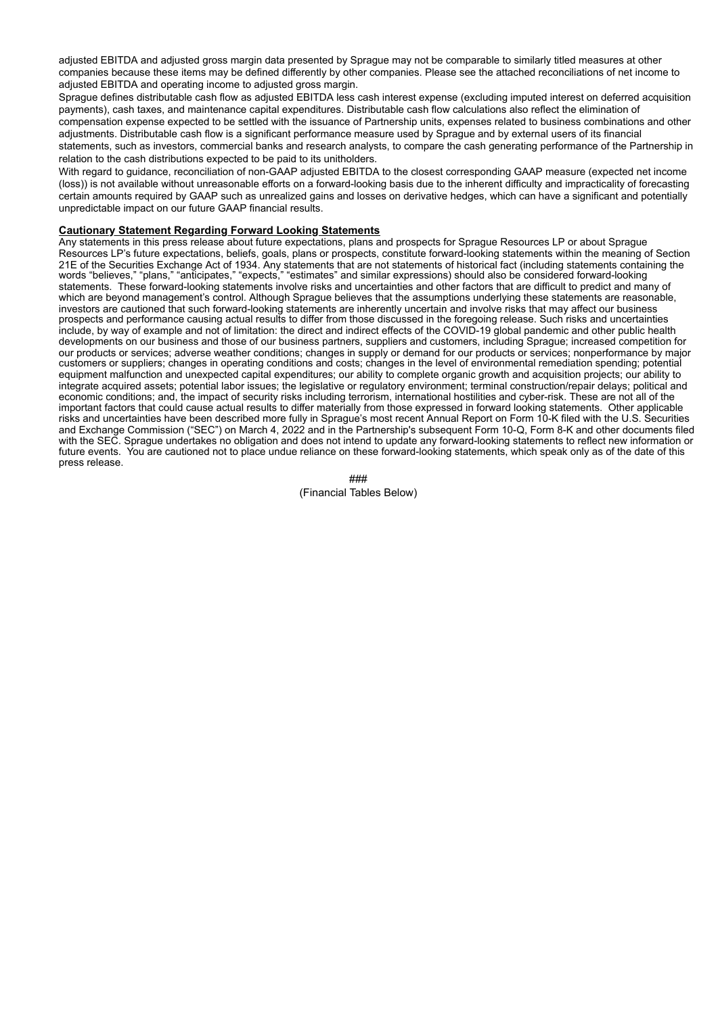adjusted EBITDA and adjusted gross margin data presented by Sprague may not be comparable to similarly titled measures at other companies because these items may be defined differently by other companies. Please see the attached reconciliations of net income to adjusted EBITDA and operating income to adjusted gross margin.

Sprague defines distributable cash flow as adjusted EBITDA less cash interest expense (excluding imputed interest on deferred acquisition payments), cash taxes, and maintenance capital expenditures. Distributable cash flow calculations also reflect the elimination of compensation expense expected to be settled with the issuance of Partnership units, expenses related to business combinations and other adjustments. Distributable cash flow is a significant performance measure used by Sprague and by external users of its financial statements, such as investors, commercial banks and research analysts, to compare the cash generating performance of the Partnership in relation to the cash distributions expected to be paid to its unitholders.

With regard to guidance, reconciliation of non-GAAP adjusted EBITDA to the closest corresponding GAAP measure (expected net income (loss)) is not available without unreasonable efforts on a forward-looking basis due to the inherent difficulty and impracticality of forecasting certain amounts required by GAAP such as unrealized gains and losses on derivative hedges, which can have a significant and potentially unpredictable impact on our future GAAP financial results.

### **Cautionary Statement Regarding Forward Looking Statements**

Any statements in this press release about future expectations, plans and prospects for Sprague Resources LP or about Sprague Resources LP's future expectations, beliefs, goals, plans or prospects, constitute forward-looking statements within the meaning of Section 21E of the Securities Exchange Act of 1934. Any statements that are not statements of historical fact (including statements containing the words "believes," "plans," "anticipates," "expects," "estimates" and similar expressions) should also be considered forward-looking statements. These forward-looking statements involve risks and uncertainties and other factors that are difficult to predict and many of which are beyond management's control. Although Sprague believes that the assumptions underlying these statements are reasonable, investors are cautioned that such forward-looking statements are inherently uncertain and involve risks that may affect our business prospects and performance causing actual results to differ from those discussed in the foregoing release. Such risks and uncertainties include, by way of example and not of limitation: the direct and indirect effects of the COVID-19 global pandemic and other public health developments on our business and those of our business partners, suppliers and customers, including Sprague; increased competition for our products or services; adverse weather conditions; changes in supply or demand for our products or services; nonperformance by major customers or suppliers; changes in operating conditions and costs; changes in the level of environmental remediation spending; potential equipment malfunction and unexpected capital expenditures; our ability to complete organic growth and acquisition projects; our ability to integrate acquired assets; potential labor issues; the legislative or regulatory environment; terminal construction/repair delays; political and economic conditions; and, the impact of security risks including terrorism, international hostilities and cyber-risk. These are not all of the important factors that could cause actual results to differ materially from those expressed in forward looking statements. Other applicable risks and uncertainties have been described more fully in Sprague's most recent Annual Report on Form 10-K filed with the U.S. Securities and Exchange Commission ("SEC") on March 4, 2022 and in the Partnership's subsequent Form 10-Q, Form 8-K and other documents filed with the SEC. Sprague undertakes no obligation and does not intend to update any forward-looking statements to reflect new information or future events. You are cautioned not to place undue reliance on these forward-looking statements, which speak only as of the date of this press release.

###

(Financial Tables Below)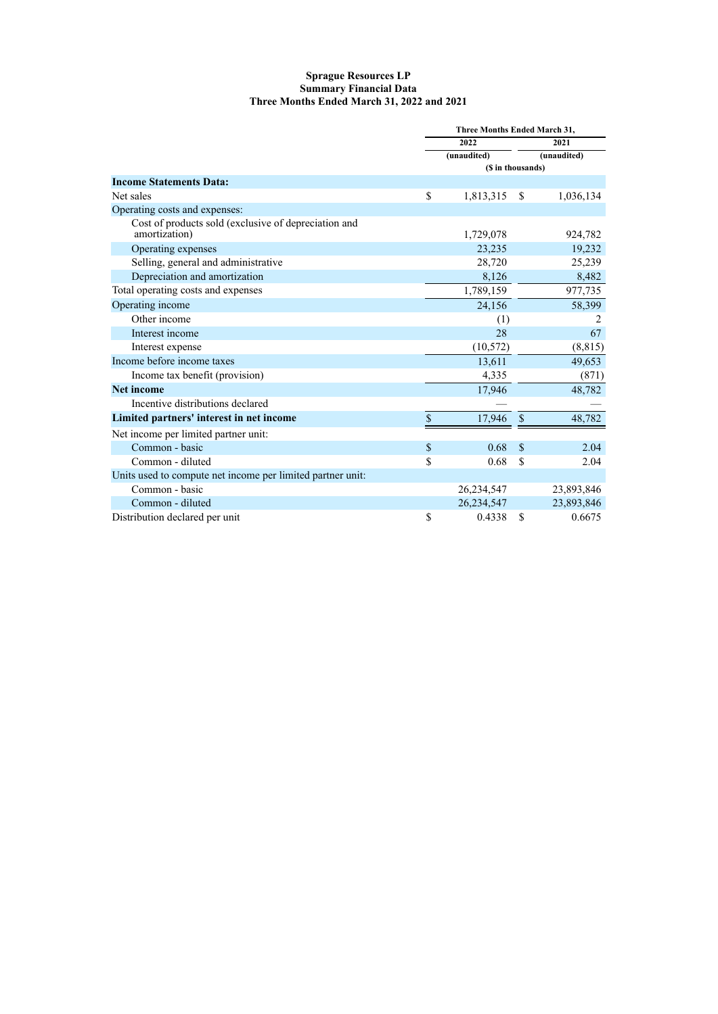#### **Sprague Resources LP Summary Financial Data Three Months Ended March 31, 2022 and 2021**

|                                                                       |      | Three Months Ended March 31, |               |            |  |
|-----------------------------------------------------------------------|------|------------------------------|---------------|------------|--|
|                                                                       | 2022 |                              | 2021          |            |  |
|                                                                       |      | (unaudited)                  | (unaudited)   |            |  |
|                                                                       |      | (\$ in thousands)            |               |            |  |
| <b>Income Statements Data:</b>                                        |      |                              |               |            |  |
| Net sales                                                             | \$   | 1,813,315                    | <sup>\$</sup> | 1,036,134  |  |
| Operating costs and expenses:                                         |      |                              |               |            |  |
| Cost of products sold (exclusive of depreciation and<br>amortization) |      | 1,729,078                    |               | 924,782    |  |
| Operating expenses                                                    |      | 23,235                       |               | 19,232     |  |
| Selling, general and administrative                                   |      | 28,720                       |               | 25,239     |  |
| Depreciation and amortization                                         |      | 8,126                        |               | 8,482      |  |
| Total operating costs and expenses                                    |      | 1,789,159                    |               | 977,735    |  |
| Operating income                                                      |      | 24,156                       |               | 58,399     |  |
| Other income                                                          |      | (1)                          |               |            |  |
| Interest income                                                       |      | 28                           |               | 67         |  |
| Interest expense                                                      |      | (10, 572)                    |               | (8, 815)   |  |
| Income before income taxes                                            |      | 13,611                       |               | 49,653     |  |
| Income tax benefit (provision)                                        |      | 4,335                        |               | (871)      |  |
| <b>Net income</b>                                                     |      | 17,946                       |               | 48,782     |  |
| Incentive distributions declared                                      |      |                              |               |            |  |
| Limited partners' interest in net income                              | \$   | 17,946                       | \$            | 48,782     |  |
| Net income per limited partner unit:                                  |      |                              |               |            |  |
| Common - basic                                                        | \$   | 0.68                         | \$            | 2.04       |  |
| Common - diluted                                                      | \$   | 0.68                         | \$            | 2.04       |  |
| Units used to compute net income per limited partner unit:            |      |                              |               |            |  |
| Common - basic                                                        |      | 26,234,547                   |               | 23,893,846 |  |
| Common - diluted                                                      |      | 26,234,547                   |               | 23,893,846 |  |
| Distribution declared per unit                                        | \$   | 0.4338                       | \$            | 0.6675     |  |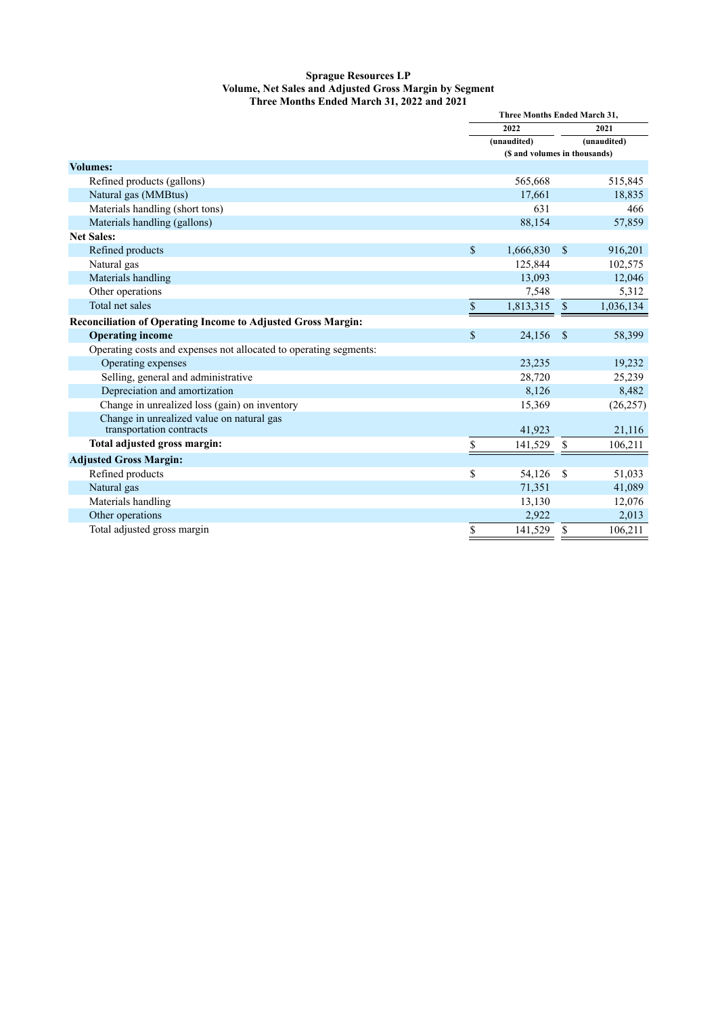#### **Sprague Resources LP Volume, Net Sales and Adjusted Gross Margin by Segment Three Months Ended March 31, 2022 and 2021**

|                                                                   |               | Three Months Ended March 31,  |               |             |  |
|-------------------------------------------------------------------|---------------|-------------------------------|---------------|-------------|--|
|                                                                   |               | 2022                          |               | 2021        |  |
|                                                                   |               | (unaudited)                   |               | (unaudited) |  |
|                                                                   |               | (\$ and volumes in thousands) |               |             |  |
| <b>Volumes:</b>                                                   |               |                               |               |             |  |
| Refined products (gallons)                                        |               | 565,668                       |               | 515,845     |  |
| Natural gas (MMBtus)                                              |               | 17,661                        |               | 18,835      |  |
| Materials handling (short tons)                                   |               | 631                           |               | 466         |  |
| Materials handling (gallons)                                      |               | 88,154                        |               | 57,859      |  |
| <b>Net Sales:</b>                                                 |               |                               |               |             |  |
| Refined products                                                  | $\mathsf{\$}$ | 1,666,830                     | $\mathbf S$   | 916,201     |  |
| Natural gas                                                       |               | 125,844                       |               | 102,575     |  |
| Materials handling                                                |               | 13,093                        |               | 12,046      |  |
| Other operations                                                  |               | 7,548                         |               | 5,312       |  |
| Total net sales                                                   | $\$$          | 1,813,315                     | $\mathbb{S}$  | 1,036,134   |  |
| Reconciliation of Operating Income to Adjusted Gross Margin:      |               |                               |               |             |  |
| <b>Operating income</b>                                           | \$            | 24,156                        | <sup>\$</sup> | 58,399      |  |
| Operating costs and expenses not allocated to operating segments: |               |                               |               |             |  |
| Operating expenses                                                |               | 23,235                        |               | 19,232      |  |
| Selling, general and administrative                               |               | 28,720                        |               | 25,239      |  |
| Depreciation and amortization                                     |               | 8,126                         |               | 8,482       |  |
| Change in unrealized loss (gain) on inventory                     |               | 15,369                        |               | (26, 257)   |  |
| Change in unrealized value on natural gas                         |               |                               |               |             |  |
| transportation contracts                                          |               | 41,923                        |               | 21,116      |  |
| Total adjusted gross margin:                                      | \$            | 141,529                       | \$            | 106,211     |  |
| <b>Adjusted Gross Margin:</b>                                     |               |                               |               |             |  |
| Refined products                                                  | \$            | 54,126                        | <sup>\$</sup> | 51,033      |  |
| Natural gas                                                       |               | 71,351                        |               | 41,089      |  |
| Materials handling                                                |               | 13,130                        |               | 12,076      |  |
| Other operations                                                  |               | 2,922                         |               | 2,013       |  |
| Total adjusted gross margin                                       | \$            | 141,529                       | $\mathbb S$   | 106,211     |  |